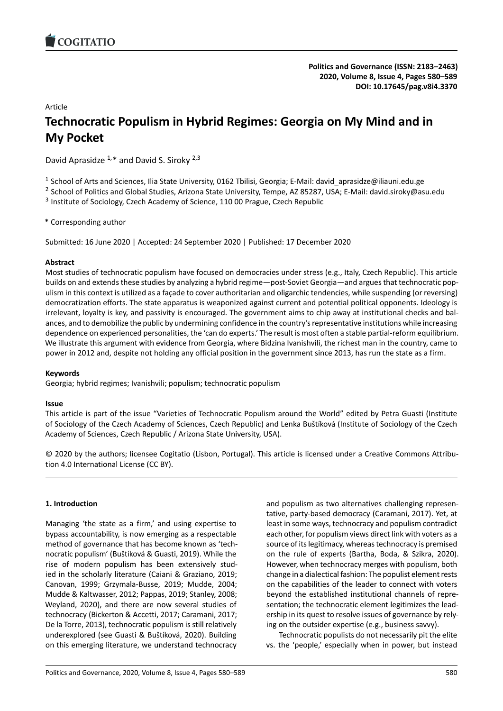# Article

# **Technocratic Populism in Hybrid Regimes: Georgia on My [Mind and in](https://doi.org/10.17645/pag.v8i4.3370) My Pocket**

David Aprasidze  $1,*$  and David S. Siroky  $2,3$ 

<sup>1</sup> School of Arts and Sciences, Ilia State University, 0162 Tbilisi, Georgia; E-Mail: david\_aprasidze@iliauni.edu.ge

<sup>2</sup> School of Politics and Global Studies, Arizona State University, Tempe, AZ 85287, USA; E-Mail: david.siroky@asu.edu

<sup>3</sup> Institute of Sociology, Czech Academy of Science, 110 00 Prague, Czech Republic

\* Corresponding author

Submitted: 16 June 2020 | Accepted: 24 September 2020 | Published: 17 December 2020

# **Abstract**

Most studies of technocratic populism have focused on democracies under stress (e.g., Italy, Czech Republic). This article builds on and extends these studies by analyzing a hybrid regime—post-Soviet Georgia—and argues that technocratic populism in this context is utilized as a façade to cover authoritarian and oligarchic tendencies, while suspending (or reversing) democratization efforts. The state apparatus is weaponized against current and potential political opponents. Ideology is irrelevant, loyalty is key, and passivity is encouraged. The government aims to chip away at institutional checks and balances, and to demobilize the public by undermining confidence in the country's representative institutions while increasing dependence on experienced personalities, the 'can do experts.' The result is most often a stable partial-reform equilibrium. We illustrate this argument with evidence from Georgia, where Bidzina Ivanishvili, the richest man in the country, came to power in 2012 and, despite not holding any official position in the government since 2013, has run the state as a firm.

# **Keywords**

Georgia; hybrid regimes; Ivanishvili; populism; technocratic populism

# **Issue**

This article is part of the issue "Varieties of Technocratic Populism around the World" edited by Petra Guasti (Institute of Sociology of the Czech Academy of Sciences, Czech Republic) and Lenka Buštíková (Institute of Sociology of the Czech Academy of Sciences, Czech Republic / Arizona State University, USA).

© 2020 by the authors; licensee Cogitatio (Lisbon, Portugal). This article is licensed under a Creative Commons Attribution 4.0 International License (CC BY).

# **1. Introduction**

Managing 'the state as a firm,' and using expertise to bypass accountability, is now emerging as a respectable method of governance that has become known as 'technocratic populism' (Buštíková & Guasti, 2019). While the rise of modern populism has been extensively studied in the scholarly literature (Caiani & Graziano, 2019; Canovan, 1999; Grzymala-Busse, 2019; Mudde, 2004; Mudde & Kaltwasser, 2012; Pappas, 2019; Stanley, 2008; Weyland, 2020), and there are now several studies of technocracy (Bickerton & Accetti, 2017; Caramani, 2017; De la Torre, 2013), technocratic populism is still relatively underexplored (see Guasti & Buštíková, 2020). Building on this emerging literature, we understand technocracy and populism as two alternatives challenging representative, party-based democracy (Caramani, 2017). Yet, at least in some ways, technocracy and populism contradict each other, for populism views direct link with voters as a source of its legitimacy, whereas technocracy is premised on the rule of experts (Bartha, Boda, & Szikra, 2020). However, when technocracy merges with populism, both change in a dialectical fashion: The populist element rests on the capabilities of the leader to connect with voters beyond the established institutional channels of representation; the technocratic element legitimizes the leadership in its quest to resolve issues of governance by relying on the outsider expertise (e.g., business savvy).

Technocratic populists do not necessarily pit the elite vs. the 'people,' especially when in power, but instead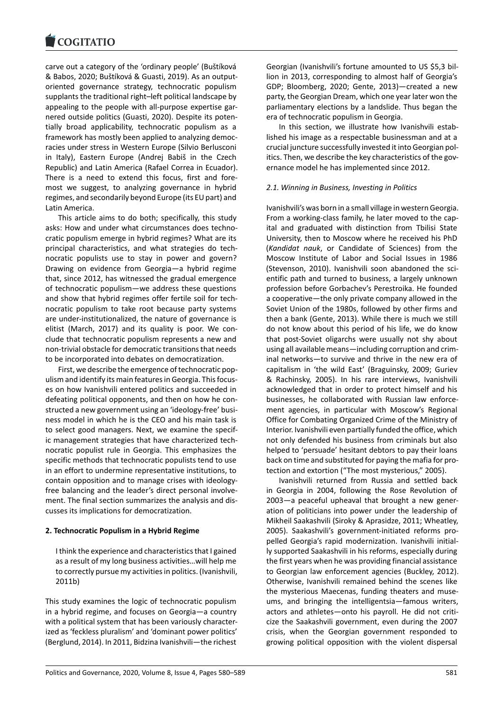carve out a category of the 'ordinary people' (Buštíková [& Babos, 2020; Buští](https://www.cogitatiopress.com)ková & Guasti, 2019). As an outputoriented governance strategy, technocratic populism supplants the traditional right–left political landscape by appealing to the people with all-purpose expertise garnered outside politics (Guasti, 2020). Despite its potentially broad applicability, technocratic populism as a framework has mostly been applied to analyzing democracies under stress in Western Europe (Silvio Berlusconi in Italy), Eastern Europe (Andrej Babiš in the Czech Republic) and Latin America (Rafael Correa in Ecuador). There is a need to extend this focus, first and foremost we suggest, to analyzing governance in hybrid regimes, and secondarily beyond Europe (its EU part) and Latin America.

This article aims to do both; specifically, this study asks: How and under what circumstances does technocratic populism emerge in hybrid regimes? What are its principal characteristics, and what strategies do technocratic populists use to stay in power and govern? Drawing on evidence from Georgia—a hybrid regime that, since 2012, has witnessed the gradual emergence of technocratic populism—we address these questions and show that hybrid regimes offer fertile soil for technocratic populism to take root because party systems are under-institutionalized, the nature of governance is elitist (March, 2017) and its quality is poor. We conclude that technocratic populism represents a new and non-trivial obstacle for democratic transitions that needs to be incorporated into debates on democratization.

First, we describe the emergence of technocratic populism and identify its main features in Georgia. This focuses on how Ivanishvili entered politics and succeeded in defeating political opponents, and then on how he constructed a new government using an 'ideology-free' business model in which he is the CEO and his main task is to select good managers. Next, we examine the specific management strategies that have characterized technocratic populist rule in Georgia. This emphasizes the specific methods that technocratic populists tend to use in an effort to undermine representative institutions, to contain opposition and to manage crises with ideologyfree balancing and the leader's direct personal involvement. The final section summarizes the analysis and discusses its implications for democratization.

# **2. Technocratic Populism in a Hybrid Regime**

I think the experience and characteristics that I gained as a result of my long business activities…will help me to correctly pursue my activities in politics. (Ivanishvili, 2011b)

This study examines the logic of technocratic populism in a hybrid regime, and focuses on Georgia—a country with a political system that has been variously characterized as 'feckless pluralism' and 'dominant power politics' (Berglund, 2014). In 2011, Bidzina Ivanishvili—the richest

Georgian (Ivanishvili's fortune amounted to US \$5,3 billion in 2013, corresponding to almost half of Georgia's GDP; Bloomberg, 2020; Gente, 2013)—created a new party, the Georgian Dream, which one year later won the parliamentary elections by a landslide. Thus began the era of technocratic populism in Georgia.

In this section, we illustrate how Ivanishvili established his image as a respectable businessman and at a crucial juncture successfully invested it into Georgian politics. Then, we describe the key characteristics of the governance model he has implemented since 2012.

### *2.1. Winning in Business, Investing in Politics*

Ivanishvili's was born in a small village in western Georgia. From a working-class family, he later moved to the capital and graduated with distinction from Tbilisi State University, then to Moscow where he received his PhD (*Kandidat nauk*, or Candidate of Sciences) from the Moscow Institute of Labor and Social Issues in 1986 (Stevenson, 2010). Ivanishvili soon abandoned the scientific path and turned to business, a largely unknown profession before Gorbachev's Perestroika. He founded a cooperative—the only private company allowed in the Soviet Union of the 1980s, followed by other firms and then a bank (Gente, 2013). While there is much we still do not know about this period of his life, we do know that post-Soviet oligarchs were usually not shy about using all available means—including corruption and criminal networks—to survive and thrive in the new era of capitalism in 'the wild East' (Braguinsky, 2009; Guriev & Rachinsky, 2005). In his rare interviews, Ivanishvili acknowledged that in order to protect himself and his businesses, he collaborated with Russian law enforcement agencies, in particular with Moscow's Regional Office for Combating Organized Crime of the Ministry of Interior. Ivanishvili even partially funded the office, which not only defended his business from criminals but also helped to 'persuade' hesitant debtors to pay their loans back on time and substituted for paying the mafia for protection and extortion ("The most mysterious," 2005).

Ivanishvili returned from Russia and settled back in Georgia in 2004, following the Rose Revolution of 2003—a peaceful upheaval that brought a new generation of politicians into power under the leadership of Mikheil Saakashvili (Siroky & Aprasidze, 2011; Wheatley, 2005). Saakashvili's government-initiated reforms propelled Georgia's rapid modernization. Ivanishvili initially supported Saakashvili in his reforms, especially during the first years when he was providing financial assistance to Georgian law enforcement agencies (Buckley, 2012). Otherwise, Ivanishvili remained behind the scenes like the mysterious Maecenas, funding theaters and museums, and bringing the intelligentsia—famous writers, actors and athletes—onto his payroll. He did not criticize the Saakashvili government, even during the 2007 crisis, when the Georgian government responded to growing political opposition with the violent dispersal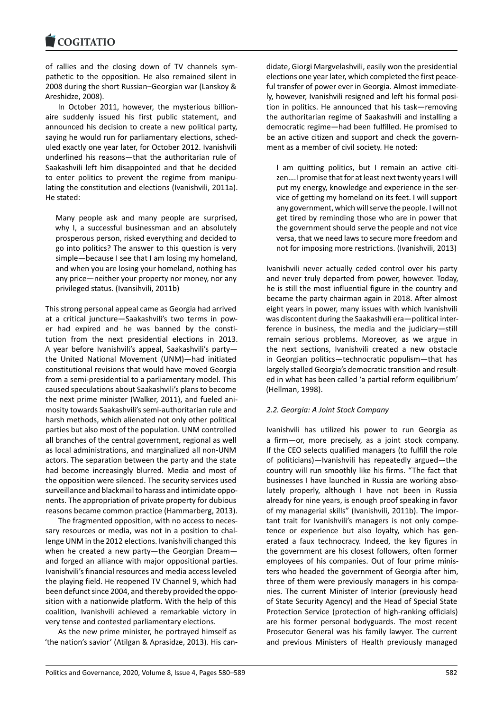of rallies and the closing down of TV channels sym[pathetic to the oppo](https://www.cogitatiopress.com)sition. He also remained silent in 2008 during the short Russian–Georgian war (Lanskoy & Areshidze, 2008).

In October 2011, however, the mysterious billionaire suddenly issued his first public statement, and announced his decision to create a new political party, saying he would run for parliamentary elections, scheduled exactly one year later, for October 2012. Ivanishvili underlined his reasons—that the authoritarian rule of Saakashvili left him disappointed and that he decided to enter politics to prevent the regime from manipulating the constitution and elections (Ivanishvili, 2011a). He stated:

Many people ask and many people are surprised, why I, a successful businessman and an absolutely prosperous person, risked everything and decided to go into politics? The answer to this question is very simple—because I see that I am losing my homeland, and when you are losing your homeland, nothing has any price—neither your property nor money, nor any privileged status. (Ivansihvili, 2011b)

This strong personal appeal came as Georgia had arrived at a critical juncture—Saakashvili's two terms in power had expired and he was banned by the constitution from the next presidential elections in 2013. A year before Ivanishvili's appeal, Saakashvili's party the United National Movement (UNM)—had initiated constitutional revisions that would have moved Georgia from a semi-presidential to a parliamentary model. This caused speculations about Saakashvili's plans to become the next prime minister (Walker, 2011), and fueled animosity towards Saakashvili's semi-authoritarian rule and harsh methods, which alienated not only other political parties but also most of the population. UNM controlled all branches of the central government, regional as well as local administrations, and marginalized all non-UNM actors. The separation between the party and the state had become increasingly blurred. Media and most of the opposition were silenced. The security services used surveillance and blackmail to harass and intimidate opponents. The appropriation of private property for dubious reasons became common practice (Hammarberg, 2013).

The fragmented opposition, with no access to necessary resources or media, was not in a position to challenge UNM in the 2012 elections. Ivanishvili changed this when he created a new party—the Georgian Dream and forged an alliance with major oppositional parties. Ivanishvili's financial resources and media access leveled the playing field. He reopened TV Channel 9, which had been defunct since 2004, and thereby provided the opposition with a nationwide platform. With the help of this coalition, Ivanishvili achieved a remarkable victory in very tense and contested parliamentary elections.

As the new prime minister, he portrayed himself as 'the nation's savior' (Atilgan & Aprasidze, 2013). His candidate, Giorgi Margvelashvili, easily won the presidential elections one year later, which completed the first peaceful transfer of power ever in Georgia. Almost immediately, however, Ivanishvili resigned and left his formal position in politics. He announced that his task—removing the authoritarian regime of Saakashvili and installing a democratic regime—had been fulfilled. He promised to be an active citizen and support and check the government as a member of civil society. He noted:

I am quitting politics, but I remain an active citizen….I promise that for at least next twenty years I will put my energy, knowledge and experience in the service of getting my homeland on its feet. I will support any government, which will serve the people. I will not get tired by reminding those who are in power that the government should serve the people and not vice versa, that we need laws to secure more freedom and not for imposing more restrictions. (Ivanishvili, 2013)

Ivanishvili never actually ceded control over his party and never truly departed from power, however. Today, he is still the most influential figure in the country and became the party chairman again in 2018. After almost eight years in power, many issues with which Ivanishvili was discontent during the Saakashvili era—political interference in business, the media and the judiciary—still remain serious problems. Moreover, as we argue in the next sections, Ivanishvili created a new obstacle in Georgian politics—technocratic populism—that has largely stalled Georgia's democratic transition and resulted in what has been called 'a partial reform equilibrium' (Hellman, 1998).

# *2.2. Georgia: A Joint Stock Company*

Ivanishvili has utilized his power to run Georgia as a firm—or, more precisely, as a joint stock company. If the CEO selects qualified managers (to fulfill the role of politicians)—Ivanishvili has repeatedly argued—the country will run smoothly like his firms. "The fact that businesses I have launched in Russia are working absolutely properly, although I have not been in Russia already for nine years, is enough proof speaking in favor of my managerial skills" (Ivanishvili, 2011b). The important trait for Ivanishvili's managers is not only competence or experience but also loyalty, which has generated a faux technocracy. Indeed, the key figures in the government are his closest followers, often former employees of his companies. Out of four prime ministers who headed the government of Georgia after him, three of them were previously managers in his companies. The current Minister of Interior (previously head of State Security Agency) and the Head of Special State Protection Service (protection of high-ranking officials) are his former personal bodyguards. The most recent Prosecutor General was his family lawyer. The current and previous Ministers of Health previously managed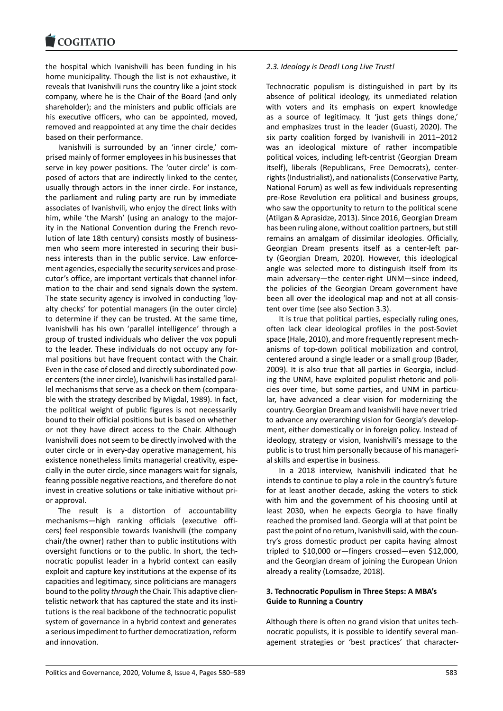the hospital which Ivanishvili has been funding in his [home municipality. T](https://www.cogitatiopress.com)hough the list is not exhaustive, it reveals that Ivanishvili runs the country like a joint stock company, where he is the Chair of the Board (and only shareholder); and the ministers and public officials are his executive officers, who can be appointed, moved, removed and reappointed at any time the chair decides based on their performance.

Ivanishvili is surrounded by an 'inner circle,' comprised mainly of former employees in his businesses that serve in key power positions. The 'outer circle' is composed of actors that are indirectly linked to the center, usually through actors in the inner circle. For instance, the parliament and ruling party are run by immediate associates of Ivanishvili, who enjoy the direct links with him, while 'the Marsh' (using an analogy to the majority in the National Convention during the French revolution of late 18th century) consists mostly of businessmen who seem more interested in securing their business interests than in the public service. Law enforcement agencies, especially the security services and prosecutor's office, are important verticals that channel information to the chair and send signals down the system. The state security agency is involved in conducting 'loyalty checks' for potential managers (in the outer circle) to determine if they can be trusted. At the same time, Ivanishvili has his own 'parallel intelligence' through a group of trusted individuals who deliver the vox populi to the leader. These individuals do not occupy any formal positions but have frequent contact with the Chair. Even in the case of closed and directly subordinated power centers (the inner circle), Ivanishvili has installed parallel mechanisms that serve as a check on them (comparable with the strategy described by Migdal, 1989). In fact, the political weight of public figures is not necessarily bound to their official positions but is based on whether or not they have direct access to the Chair. Although Ivanishvili does not seem to be directly involved with the outer circle or in every-day operative management, his existence nonetheless limits managerial creativity, especially in the outer circle, since managers wait for signals, fearing possible negative reactions, and therefore do not invest in creative solutions or take initiative without prior approval.

The result is a distortion of accountability mechanisms—high ranking officials (executive officers) feel responsible towards Ivanishvili (the company chair/the owner) rather than to public institutions with oversight functions or to the public. In short, the technocratic populist leader in a hybrid context can easily exploit and capture key institutions at the expense of its capacities and legitimacy, since politicians are managers bound to the polity *through* the Chair. This adaptive clientelistic network that has captured the state and its institutions is the real backbone of the technocratic populist system of governance in a hybrid context and generates a serious impediment to further democratization, reform and innovation.

### *2.3. Ideology is Dead! Long Live Trust!*

Technocratic populism is distinguished in part by its absence of political ideology, its unmediated relation with voters and its emphasis on expert knowledge as a source of legitimacy. It 'just gets things done,' and emphasizes trust in the leader (Guasti, 2020). The six party coalition forged by Ivanishvili in 2011–2012 was an ideological mixture of rather incompatible political voices, including left-centrist (Georgian Dream itself), liberals (Republicans, Free Democrats), centerrights (Industrialist), and nationalists (Conservative Party, National Forum) as well as few individuals representing pre-Rose Revolution era political and business groups, who saw the opportunity to return to the political scene (Atilgan & Aprasidze, 2013). Since 2016, Georgian Dream has been ruling alone, without coalition partners, but still remains an amalgam of dissimilar ideologies. Officially, Georgian Dream presents itself as a center-left party (Georgian Dream, 2020). However, this ideological angle was selected more to distinguish itself from its main adversary—the center-right UNM—since indeed, the policies of the Georgian Dream government have been all over the ideological map and not at all consistent over time (see also Section 3.3).

It is true that political parties, especially ruling ones, often lack clear ideological profiles in the post-Soviet space (Hale, 2010), and more frequently represent mechanisms of top-down political mobilization and control, centered around a single leader or a small group (Bader, 2009). It is also true that all parties in Georgia, including the UNM, have exploited populist rhetoric and policies over time, but some parties, and UNM in particular, have advanced a clear vision for modernizing the country. Georgian Dream and Ivanishvili have never tried to advance any overarching vision for Georgia's development, either domestically or in foreign policy. Instead of ideology, strategy or vision, Ivanishvili's message to the public is to trust him personally because of his managerial skills and expertise in business.

In a 2018 interview, Ivanishvili indicated that he intends to continue to play a role in the country's future for at least another decade, asking the voters to stick with him and the government of his choosing until at least 2030, when he expects Georgia to have finally reached the promised land. Georgia will at that point be past the point of no return, Ivanishvili said, with the country's gross domestic product per capita having almost tripled to \$10,000 or—fingers crossed—even \$12,000, and the Georgian dream of joining the European Union already a reality (Lomsadze, 2018).

# **3. Technocratic Populism in Three Steps: A MBA's Guide to Running a Country**

Although there is often no grand vision that unites technocratic populists, it is possible to identify several management strategies or 'best practices' that character-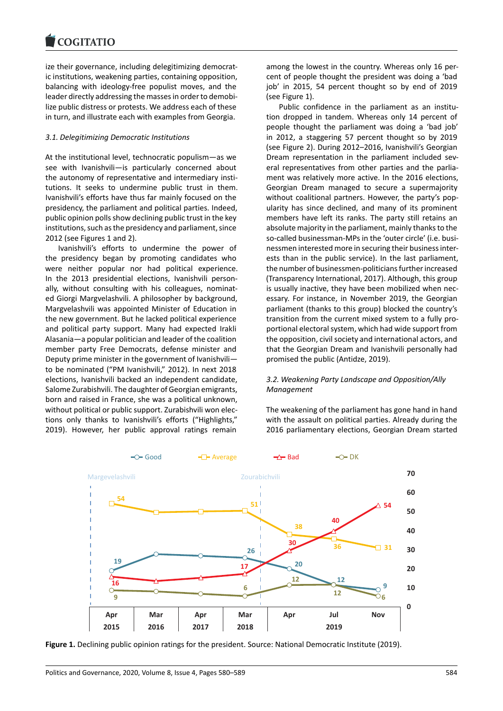#### **LOGITATIO**

ize their governance, including delegitimizing democrat[ic institutions, weake](https://www.cogitatiopress.com)ning parties, containing opposition, balancing with ideology-free populist moves, and the leader directly addressing the masses in order to demobilize public distress or protests. We address each of these in turn, and illustrate each with examples from Georgia.

### *3.1. Delegitimizing Democratic Institutions*

At the institutional level, technocratic populism—as we see with Ivanishvili—is particularly concerned about the autonomy of representative and intermediary institutions. It seeks to undermine public trust in them. Ivanishvili's efforts have thus far mainly focused on the presidency, the parliament and political parties. Indeed, public opinion polls show declining public trust in the key institutions, such as the presidency and parliament, since 2012 (see Figures 1 and 2).

Ivanishvili's efforts to undermine the power of the presidency began by promoting candidates who were neither popular nor had political experience. In the 2013 presidential elections, Ivanishvili personally, without consulting with his colleagues, nominated Giorgi Margvelashvili. A philosopher by background, Margvelashvili was appointed Minister of Education in the new government. But he lacked political experience and political party support. Many had expected Irakli Alasania—a popular politician and leader of the coalition member party Free Democrats, defense minister and Deputy prime minister in the government of Ivanishvili to be nominated ("PM Ivanishvili," 2012). In next 2018 elections, Ivanishvili backed an independent candidate, Salome Zurabishvili. The daughter of Georgian emigrants, born and raised in France, she was a political unknown, without political or public support. Zurabishvili won elections only thanks to Ivanishvili's efforts ("Highlights," 2019). However, her public approval ratings remain

among the lowest in the country. Whereas only 16 percent of people thought the president was doing a 'bad job' in 2015, 54 percent thought so by end of 2019 (see Figure 1).

Public confidence in the parliament as an institution dropped in tandem. Whereas only 14 percent of people thought the parliament was doing a 'bad job' in 2012, a staggering 57 percent thought so by 2019 (see Figure 2). During 2012–2016, Ivanishvili's Georgian Dream representation in the parliament included several representatives from other parties and the parliament was relatively more active. In the 2016 elections, Georgian Dream managed to secure a supermajority without coalitional partners. However, the party's popularity has since declined, and many of its prominent members have left its ranks. The party still retains an absolute majority in the parliament, mainly thanks to the so-called businessman-MPs in the 'outer circle' (i.e. businessmen interested more in securing their business interests than in the public service). In the last parliament, the number of businessmen-politicians further increased (Transparency International, 2017). Although, this group is usually inactive, they have been mobilized when necessary. For instance, in November 2019, the Georgian parliament (thanks to this group) blocked the country's transition from the current mixed system to a fully proportional electoral system, which had wide support from the opposition, civil society and international actors, and that the Georgian Dream and Ivanishvili personally had promised the public (Antidze, 2019).

# *3.2. Weakening Party Landscape and Opposition/Ally Management*

The weakening of the parliament has gone hand in hand with the assault on political parties. Already during the 2016 parliamentary elections, Georgian Dream started



**Figure 1.** Declining public opinion ratings for the president. Source: National Democratic Institute (2019).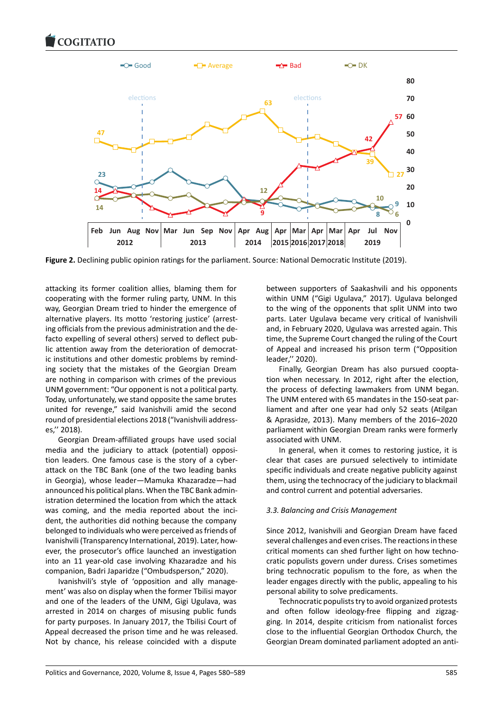

**Figure 2.** Declining public opinion ratings for the parliament. Source: National Democratic Institute (2019).

attacking its former coalition allies, blaming them for cooperating with the former ruling party, UNM. In this way, Georgian Dream tried to hinder the emergence of alternative players. Its motto 'restoring justice' (arresting officials from the previous administration and the defacto expelling of several others) served to deflect public attention away from the deterioration of democratic institutions and other domestic problems by reminding society that the mistakes of the Georgian Dream are nothing in comparison with crimes of the previous UNM government: "Our opponent is not a political party. Today, unfortunately, we stand opposite the same brutes united for revenge," said Ivanishvili amid the second round of presidential elections 2018 ("Ivanishvili addresses,'' 2018).

Georgian Dream-affiliated groups have used social media and the judiciary to attack (potential) opposition leaders. One famous case is the story of a cyberattack on the TBC Bank (one of the two leading banks in Georgia), whose leader—Mamuka Khazaradze—had announced his political plans. When the TBC Bank administration determined the location from which the attack was coming, and the media reported about the incident, the authorities did nothing because the company belonged to individuals who were perceived as friends of Ivanishvili (Transparency International, 2019). Later, however, the prosecutor's office launched an investigation into an 11 year-old case involving Khazaradze and his companion, Badri Japaridze ("Ombudsperson," 2020).

Ivanishvili's style of 'opposition and ally management' was also on display when the former Tbilisi mayor and one of the leaders of the UNM, Gigi Ugulava, was arrested in 2014 on charges of misusing public funds for party purposes. In January 2017, the Tbilisi Court of Appeal decreased the prison time and he was released. Not by chance, his release coincided with a dispute

between supporters of Saakashvili and his opponents within UNM ("Gigi Ugulava," 2017). Ugulava belonged to the wing of the opponents that split UNM into two parts. Later Ugulava became very critical of Ivanishvili and, in February 2020, Ugulava was arrested again. This time, the Supreme Court changed the ruling of the Court of Appeal and increased his prison term ("Opposition leader,'' 2020).

Finally, Georgian Dream has also pursued cooptation when necessary. In 2012, right after the election, the process of defecting lawmakers from UNM began. The UNM entered with 65 mandates in the 150-seat parliament and after one year had only 52 seats (Atilgan & Aprasidze, 2013). Many members of the 2016–2020 parliament within Georgian Dream ranks were formerly associated with UNM.

In general, when it comes to restoring justice, it is clear that cases are pursued selectively to intimidate specific individuals and create negative publicity against them, using the technocracy of the judiciary to blackmail and control current and potential adversaries.

### *3.3. Balancing and Crisis Management*

Since 2012, Ivanishvili and Georgian Dream have faced several challenges and even crises. The reactions in these critical moments can shed further light on how technocratic populists govern under duress. Crises sometimes bring technocratic populism to the fore, as when the leader engages directly with the public, appealing to his personal ability to solve predicaments.

Technocratic populists try to avoid organized protests and often follow ideology-free flipping and zigzagging. In 2014, despite criticism from nationalist forces close to the influential Georgian Orthodox Church, the Georgian Dream dominated parliament adopted an anti-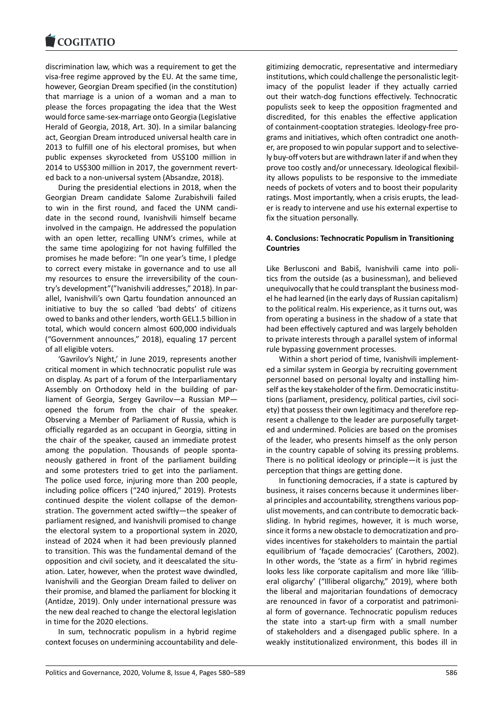#### **LOGITATIO**

discrimination law, which was a requirement to get the [visa-free regime app](https://www.cogitatiopress.com)roved by the EU. At the same time, however, Georgian Dream specified (in the constitution) that marriage is a union of a woman and a man to please the forces propagating the idea that the West would force same-sex-marriage onto Georgia (Legislative Herald of Georgia, 2018, Art. 30). In a similar balancing act, Georgian Dream introduced universal health care in 2013 to fulfill one of his electoral promises, but when public expenses skyrocketed from US\$100 million in 2014 to US\$300 million in 2017, the government reverted back to a non-universal system (Absandze, 2018).

During the presidential elections in 2018, when the Georgian Dream candidate Salome Zurabishvili failed to win in the first round, and faced the UNM candidate in the second round, Ivanishvili himself became involved in the campaign. He addressed the population with an open letter, recalling UNM's crimes, while at the same time apologizing for not having fulfilled the promises he made before: "In one year's time, I pledge to correct every mistake in governance and to use all my resources to ensure the irreversibility of the country's development"("Ivanishvili addresses," 2018). In parallel, Ivanishvili's own Qartu foundation announced an initiative to buy the so called 'bad debts' of citizens owed to banks and other lenders, worth GEL1.5 billion in total, which would concern almost 600,000 individuals ("Government announces," 2018), equaling 17 percent of all eligible voters.

'Gavrilov's Night,' in June 2019, represents another critical moment in which technocratic populist rule was on display. As part of a forum of the Interparliamentary Assembly on Orthodoxy held in the building of parliament of Georgia, Sergey Gavrilov—a Russian MP opened the forum from the chair of the speaker. Observing a Member of Parliament of Russia, which is officially regarded as an occupant in Georgia, sitting in the chair of the speaker, caused an immediate protest among the population. Thousands of people spontaneously gathered in front of the parliament building and some protesters tried to get into the parliament. The police used force, injuring more than 200 people, including police officers ("240 injured," 2019). Protests continued despite the violent collapse of the demonstration. The government acted swiftly—the speaker of parliament resigned, and Ivanishvili promised to change the electoral system to a proportional system in 2020, instead of 2024 when it had been previously planned to transition. This was the fundamental demand of the opposition and civil society, and it deescalated the situation. Later, however, when the protest wave dwindled, Ivanishvili and the Georgian Dream failed to deliver on their promise, and blamed the parliament for blocking it (Antidze, 2019). Only under international pressure was the new deal reached to change the electoral legislation in time for the 2020 elections.

In sum, technocratic populism in a hybrid regime context focuses on undermining accountability and delegitimizing democratic, representative and intermediary institutions, which could challenge the personalistic legitimacy of the populist leader if they actually carried out their watch-dog functions effectively. Technocratic populists seek to keep the opposition fragmented and discredited, for this enables the effective application of containment-cooptation strategies. Ideology-free programs and initiatives, which often contradict one another, are proposed to win popular support and to selectively buy-off voters but are withdrawn later if and when they prove too costly and/or unnecessary. Ideological flexibility allows populists to be responsive to the immediate needs of pockets of voters and to boost their popularity ratings. Most importantly, when a crisis erupts, the leader is ready to intervene and use his external expertise to fix the situation personally.

# **4. Conclusions: Technocratic Populism in Transitioning Countries**

Like Berlusconi and Babiš, Ivanishvili came into politics from the outside (as a businessman), and believed unequivocally that he could transplant the business model he had learned (in the early days of Russian capitalism) to the political realm. His experience, as it turns out, was from operating a business in the shadow of a state that had been effectively captured and was largely beholden to private interests through a parallel system of informal rule bypassing government processes.

Within a short period of time, Ivanishvili implemented a similar system in Georgia by recruiting government personnel based on personal loyalty and installing himself as the key stakeholder of the firm. Democratic institutions (parliament, presidency, political parties, civil society) that possess their own legitimacy and therefore represent a challenge to the leader are purposefully targeted and undermined. Policies are based on the promises of the leader, who presents himself as the only person in the country capable of solving its pressing problems. There is no political ideology or principle—it is just the perception that things are getting done.

In functioning democracies, if a state is captured by business, it raises concerns because it undermines liberal principles and accountability, strengthens various populist movements, and can contribute to democratic backsliding. In hybrid regimes, however, it is much worse, since it forms a new obstacle to democratization and provides incentives for stakeholders to maintain the partial equilibrium of 'façade democracies' (Carothers, 2002). In other words, the 'state as a firm' in hybrid regimes looks less like corporate capitalism and more like 'illiberal oligarchy' ("Illiberal oligarchy," 2019), where both the liberal and majoritarian foundations of democracy are renounced in favor of a corporatist and patrimonial form of governance. Technocratic populism reduces the state into a start-up firm with a small number of stakeholders and a disengaged public sphere. In a weakly institutionalized environment, this bodes ill in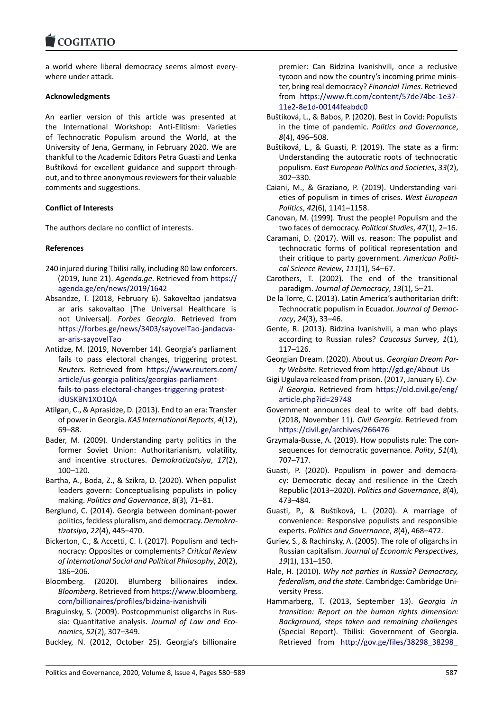### **LOGITATIO**

a world where liberal democracy seems almost every[where under attack.](https://www.cogitatiopress.com)

### **Acknowledgments**

An earlier version of this article was presented at the International Workshop: Anti-Elitism: Varieties of Technocratic Populism around the World, at the University of Jena, Germany, in February 2020. We are thankful to the Academic Editors Petra Guasti and Lenka Buštíková for excellent guidance and support throughout, and to three anonymous reviewers for their valuable comments and suggestions.

### **Conflict of Interests**

The authors declare no conflict of interests.

### **References**

- 240 injured during Tbilisi rally, including 80 law enforcers. (2019, June 21). *Agenda.ge*. Retrieved from https:// agenda.ge/en/news/2019/1642
- Absandze, T. (2018, February 6). Sakoveltao jandatsva ar aris sakovaltao [The Universal Healthcare is not Universal]. *Forbes Georgia*. Retrieve[d from](https://agenda.ge/en/news/2019/1642) [https://forbes.ge/news/3403/sa](https://agenda.ge/en/news/2019/1642)yovelTao-jandacvaar-aris-sayovelTao
- Antidze, M. (2019, November 14). Georgia's parliament fails to pass electoral changes, triggering protest. *Reuters*. Retrieved from [https://www.reuters.com/](https://forbes.ge/news/3403/sayovelTao-jandacva-ar-aris-sayovelTao) [article/us-georgia-p](https://forbes.ge/news/3403/sayovelTao-jandacva-ar-aris-sayovelTao)olitics/georgias-parliamentfails-to-pass-electoral-changes-triggering-protestidUSKBN1XO1QA
- Atilgan, C., & Aprasidze, D. (20[13\). End to an era: Transfer](https://www.reuters.com/article/us-georgia-politics/georgias-parliament-fails-to-pass-electoral-changes-triggering-protest-idUSKBN1XO1QA) of power in Georgia. *[KAS International Reports](https://www.reuters.com/article/us-georgia-politics/georgias-parliament-fails-to-pass-electoral-changes-triggering-protest-idUSKBN1XO1QA)*, *4*(12), [69–88.](https://www.reuters.com/article/us-georgia-politics/georgias-parliament-fails-to-pass-electoral-changes-triggering-protest-idUSKBN1XO1QA)
- Ba[der, M. \(2009\). U](https://www.reuters.com/article/us-georgia-politics/georgias-parliament-fails-to-pass-electoral-changes-triggering-protest-idUSKBN1XO1QA)nderstanding party politics in the former Soviet Union: Authoritarianism, volatility, and incentive structures. *Demokratizatsiya*, *17*(2), 100–120.
- Bartha, A., Boda, Z., & Szikra, D. (2020). When populist leaders govern: Conceptualising populists in policy making. *Politics and Governance*, *8*(3)*,* 71–81.
- Berglund, C. (2014). Georgia between dominant-power politics, feckless pluralism, and democracy. *Demokratizatsiya*, *22*(4), 445–470.
- Bickerton, C., & Accetti, C. I. (2017). Populism and technocracy: Opposites or complements? *Critical Review of International Social and Political Philosophy*, *20*(2), 186–206.
- Bloomberg. (2020). Blumberg billionaires index. *Bloomberg*. Retrieved from https://www.bloomberg. com/billionaires/profiles/bidzina-ivanishvili
- Braguinsky, S. (2009). Postcopmmunist oligarchs in Russia: Quantitative analysis. *Journal of Law and Economics*, *52*(2), 307–349.
- Buc[kley, N. \(2012, October 25\). Georgia's bi](https://www.bloomberg.com/billionaires/profiles/bidzina-ivanishvili)llionaire

premier: Can Bidzina Ivanishvili, once a reclusive tycoon and now the country's incoming prime minister, bring real democracy? *Financial Times*. Retrieved from https://www.ft.com/content/57de74bc-1e37- 11e2-8e1d-00144feabdc0

- Buštíková, L., & Babos, P. (2020). Best in Covid: Populists in the time of pandemic. *Politics and Governance*, *8*(4), [496–508.](https://www.ft.com/content/57de74bc-1e37-11e2-8e1d-00144feabdc0)
- Buš[tíková, L., & Guasti, P. \(20](https://www.ft.com/content/57de74bc-1e37-11e2-8e1d-00144feabdc0)19). The state as a firm: Understanding the autocratic roots of technocratic populism. *East European Politics and Societies*, *33*(2), 302–330.
- Caiani, M., & Graziano, P. (2019). Understanding varieties of populism in times of crises. *West European Politics*, *42*(6), 1141–1158.
- Canovan, M. (1999). Trust the people! Populism and the two faces of democracy. *Political Studies*, *47*(1), 2–16.
- Caramani, D. (2017). Will vs. reason: The populist and technocratic forms of political representation and their critique to party government. *American Political Science Review*, *111*(1), 54–67.
- Carothers, T. (2002). The end of the transitional paradigm. *Journal of Democracy*, *13*(1), 5–21.
- De la Torre, C. (2013). Latin America's authoritarian drift: Technocratic populism in Ecuador. *Journal of Democracy*, *24*(3), 33–46.
- Gente, R. (2013). Bidzina Ivanishvili, a man who plays according to Russian rules? *Caucasus Survey*, *1*(1), 117–126.
- Georgian Dream. (2020). About us. *Georgian Dream Party Website*. Retrieved from http://gd.ge/About-Us
- Gigi Ugulava released from prison. (2017, January 6). *Civil Georgia*. Retrieved from https://old.civil.ge/eng/ article.php?id=29748
- Government announces deal [to write off bad deb](http://gd.ge/About-Us)ts. (2018, November 11). *Civil Georgia*. Retrieved from https://civil.ge/archives/26[6476](https://old.civil.ge/eng/article.php?id=29748)
- Grz[ymala-Busse, A. \(2019](https://old.civil.ge/eng/article.php?id=29748)). How populists rule: The consequences for democratic governance. *Polity*, *51*(4)*,* 707–717.
- Gu[asti, P. \(2020\). Populism in po](https://civil.ge/archives/266476)wer and democracy: Democratic decay and resilience in the Czech Republic (2013–2020). *Politics and Governance*, *8*(4), 473–484.
- Guasti, P., & Buštíková, L. (2020). A marriage of convenience: Responsive populists and responsible experts. *Politics and Governance*, *8*(4), 468–472.
- Guriev, S., & Rachinsky, A. (2005). The role of oligarchs in Russian capitalism. *Journal of Economic Perspectives*, *19*(1), 131–150.
- Hale, H. (2010). *Why not parties in Russia? Democracy, federalism, and the state*. Cambridge: Cambridge University Press.
- Hammarberg, T. (2013, September 13). *Georgia in transition: Report on the human rights dimension: Background, steps taken and remaining challenges* (Special Report). Tbilisi: Government of Georgia. Retrieved from http://gov.ge/files/38298\_38298\_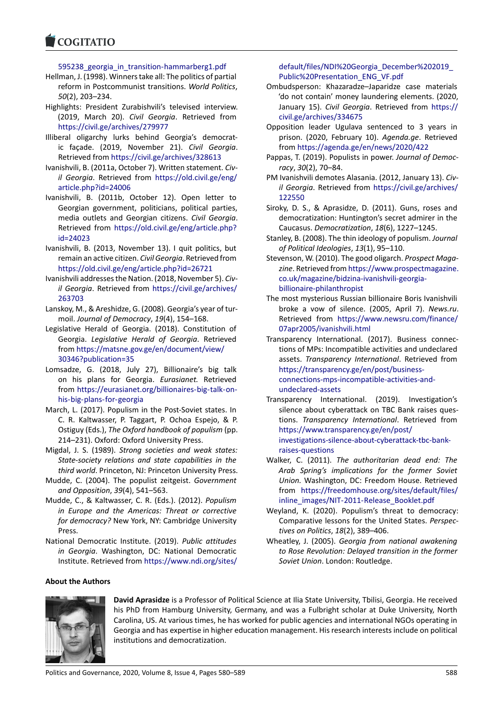595238 georgia in transition-hammarberg1.pdf

- [Hellman, J. \(1998\). W](https://www.cogitatiopress.com)inners take all: The politics of partial reform in Postcommunist transitions. *World Politics*, *50*(2), 203–234.
- Highlights: President Zurabishvili's televised interview. (2019, March 20). *Civil Georgia*. Retrieved from https://civil.ge/archives/279977
- Illiberal oligarchy lurks behind Georgia's democratic façade. (2019, November 21). *Civil Georgia*. Retrieved from https://civil.ge/archives/328613
- Iva[nishvili, B. \(2011a, October 7\). Wr](https://civil.ge/archives/279977)itten statement. *Civil Georgia*. Retrieved from https://old.civil.ge/eng/ article.php?id=24006
- Ivanishvili, B. (20[11b, October 12\). Open letter](https://civil.ge/archives/328613) to Georgian government, politicians, political parties, media outlets and Georgian citizens. *[Civil Georgia](https://old.civil.ge/eng/article.php?id=24006)*. [Retrieved from](https://old.civil.ge/eng/article.php?id=24006) https://old.civil.ge/eng/article.php? id=24023
- Ivanishvili, B. (2013, November 13). I quit politics, but remain an active citizen. *Civil Georgia*. Retrieved from https://old.civil.[ge/eng/article.php?id=26721](https://old.civil.ge/eng/article.php?id=24023)
- Iva[nishvili add](https://old.civil.ge/eng/article.php?id=24023)resses the Nation. (2018, November 5). *Civil Georgia*. Retrieved from https://civil.ge/archives/ 263703
- Lan[skoy, M., & Areshidze, G. \(2008\). Georgia's year](https://old.civil.ge/eng/article.php?id=26721) of turmoil. *Journal of Democracy*, *19*(4), 154–168.
- Legislative Herald of Georgia. [\(2018\). Constitution of](https://civil.ge/archives/263703) [Georgia](https://civil.ge/archives/263703). *Legislative Herald of Georgia*. Retrieved from https://matsne.gov.ge/en/document/view/ 30346?publication=35
- Lomsadze, G. (2018, July 27), Billionaire's big talk on his plans for Georgia. *Eurasianet.* Retrieved from [https://eurasianet.org/billionaires-big-talk-](https://matsne.gov.ge/en/document/view/30346?publication=35)on[his-big-plans-for-georg](https://matsne.gov.ge/en/document/view/30346?publication=35)ia
- March, L. (2017). Populism in the Post-Soviet states. In C. R. Kaltwasser, P. Taggart, P. Ochoa Espejo, & P. Ostiguy (Eds.), *[The Oxford handbook of populism](https://eurasianet.org/billionaires-big-talk-on-his-big-plans-for-georgia)* (pp. [214–231\). Oxford: Oxford](https://eurasianet.org/billionaires-big-talk-on-his-big-plans-for-georgia) University Press.
- Migdal, J. S. (1989). *Strong societies and weak states: State-society relations and state capabilities in the third world*. Princeton, NJ: Princeton University Press.
- Mudde, C. (2004). The populist zeitgeist. *Government and Opposition*, *39*(4), 541–563.
- Mudde, C., & Kaltwasser, C. R. (Eds.). (2012). *Populism in Europe and the Americas: Threat or corrective for democracy?* New York, NY: Cambridge University Press.
- National Democratic Institute. (2019). *Public attitudes in Georgia*. Washington, DC: National Democratic Institute. Retrieved from https://www.ndi.org/sites/

# default/files/NDI%20Georgia\_December%202019\_ Public%20Presentation\_ENG\_VF.pdf

- Ombudsperson: Khazaradze–Japaridze case materials 'do not contain' money laundering elements. (2020, January 15). *Civil Georgia*[. Retrieved from](https://www.ndi.org/sites/default/files/NDI%20Georgia_December%202019_Public%20Presentation_ENG_VF.pdf) https:// [civil.ge/archives/334675](https://www.ndi.org/sites/default/files/NDI%20Georgia_December%202019_Public%20Presentation_ENG_VF.pdf)
- Opposition leader Ugulava sentenced to 3 years in prison. (2020, February 10). *Agenda.ge*. Retrieved from https://agenda.ge/en/news/2020/422
- Pa[ppas, T. \(2019\). Populists i](https://civil.ge/archives/334675)n power. *Journal of Democracy*, *30*(2), 70–84.
- PM Ivanishvili demotes Alasania. (2012, January 13). *Civil Georgia*[. Retrieved from](https://agenda.ge/en/news/2020/422) https://civil.ge/archives/ 122550
- Siroky, D. S., & Aprasidze, D. (2011). Guns, roses and democratization: Huntington's secret admirer in the Caucasus. *Democratization*, *18*[\(6\), 1227–1245.](https://civil.ge/archives/122550)
- Sta[nley, B. \(](https://civil.ge/archives/122550)2008). The thin ideology of populism. *Journal of Political Ideologies*, *13*(1), 95–110.
- Stevenson, W. (2010). The good oligarch. *Prospect Magazine*. Retrieved from https://www.prospectmagazine. co.uk/magazine/bidzina-ivanishvili-georgiabillionaire-philanthropist
- The most mysterious Russian billionaire Boris Ivanishvili broke a vow of sil[ence. \(2005, April 7\).](https://www.prospectmagazine.co.uk/magazine/bidzina-ivanishvili-georgia-billionaire-philanthropist) *News.ru*. Retrieved from [https://www.newsru.com/](https://www.prospectmagazine.co.uk/magazine/bidzina-ivanishvili-georgia-billionaire-philanthropist)finance/ [07apr2005/ivanishvili.htm](https://www.prospectmagazine.co.uk/magazine/bidzina-ivanishvili-georgia-billionaire-philanthropist)l
- Transparency International. (2017). Business connections of MPs: Incompatible activities and undeclared assets. *Transpar[ency International](https://www.newsru.com/finance/07apr2005/ivanishvili.html)*. Retrieved from [https://transparency.ge/en](https://www.newsru.com/finance/07apr2005/ivanishvili.html)/post/businessconnections-mps-incompatible-activities-andundeclared-assets
- Transparency International. (2019). Investigation's [silence about cyberattack on TBC Bank rai](https://transparency.ge/en/post/business-connections-mps-incompatible-activities-and-undeclared-assets)ses questions. *[Transparency International](https://transparency.ge/en/post/business-connections-mps-incompatible-activities-and-undeclared-assets)*. Retrieved from [https://www.trans](https://transparency.ge/en/post/business-connections-mps-incompatible-activities-and-undeclared-assets)parency.ge/en/post/ investigations-silence-about-cyberattack-tbc-bankraises-questions
- Walker, C. (2011). *The authoritarian dead end: The [Arab Spring's implications for the fo](https://www.transparency.ge/en/post/investigations-silence-about-cyberattack-tbc-bank-raises-questions)rmer Soviet Union.* [Washington, DC: Freedom House. Retrieve](https://www.transparency.ge/en/post/investigations-silence-about-cyberattack-tbc-bank-raises-questions)d from [https://fre](https://www.transparency.ge/en/post/investigations-silence-about-cyberattack-tbc-bank-raises-questions)edomhouse.org/sites/default/files/ inline\_images/NIT-2011-Release\_Booklet.pdf
- Weyland, K. (2020). Populism's threat to democracy: Comparative lessons for the United States. *Perspectives on Politics*, *18*[\(2\), 389–406.](https://freedomhouse.org/sites/default/files/inline_images/NIT-2011-Release_Booklet.pdf)
- Wheatley, J. (2005). *[Georgia from national awa](https://freedomhouse.org/sites/default/files/inline_images/NIT-2011-Release_Booklet.pdf)kening to Rose Revolution: Delayed transition in the former Soviet Union*. London: Routledge.

# **About the Authors**



**David Aprasidze** [is a Professor of Pol](https://www.ndi.org/sites/default/files/NDI%20Georgia_December%202019_Public%20Presentation_ENG_VF.pdf)itical Science at Ilia State University, Tbilisi, Georgia. He received his PhD from Hamburg University, Germany, and was a Fulbright scholar at Duke University, North Carolina, US. At various times, he has worked for public agencies and international NGOs operating in Georgia and has expertise in higher education management. His research interests include on political institutions and democratization.